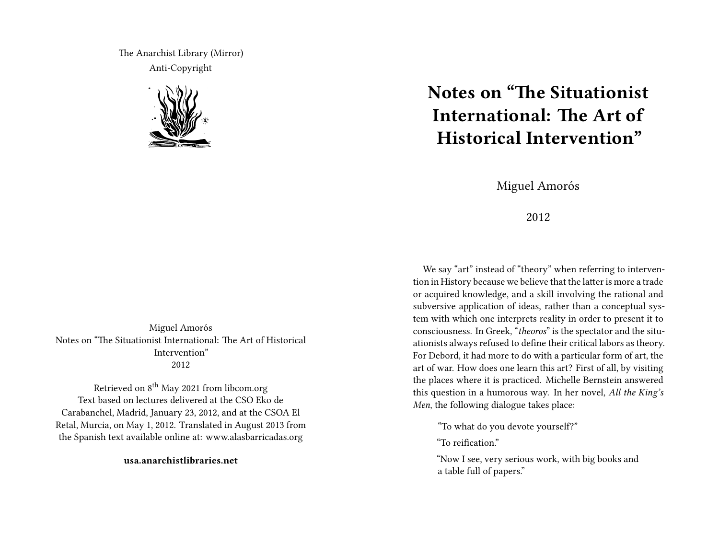The Anarchist Library (Mirror) Anti-Copyright



Miguel Amorós Notes on "The Situationist International: The Art of Historical Intervention" 2012

Retrieved on 8<sup>th</sup> May 2021 from libcom.org Text based on lectures delivered at the CSO Eko de Carabanchel, Madrid, January 23, 2012, and at the CSOA El Retal, Murcia, on May 1, 2012. Translated in August 2013 from the Spanish text available online at: www.alasbarricadas.org

**usa.anarchistlibraries.net**

## **Notes on "The Situationist International: The Art of Historical Intervention"**

Miguel Amorós

2012

We say "art" instead of "theory" when referring to intervention in History because we believe that the latter is more a trade or acquired knowledge, and a skill involving the rational and subversive application of ideas, rather than a conceptual system with which one interprets reality in order to present it to consciousness. In Greek, "*theoros*" is the spectator and the situationists always refused to define their critical labors as theory. For Debord, it had more to do with a particular form of art, the art of war. How does one learn this art? First of all, by visiting the places where it is practiced. Michelle Bernstein answered this question in a humorous way. In her novel, *All the King's Men*, the following dialogue takes place:

"To what do you devote yourself?"

"To reification."

"Now I see, very serious work, with big books and a table full of papers."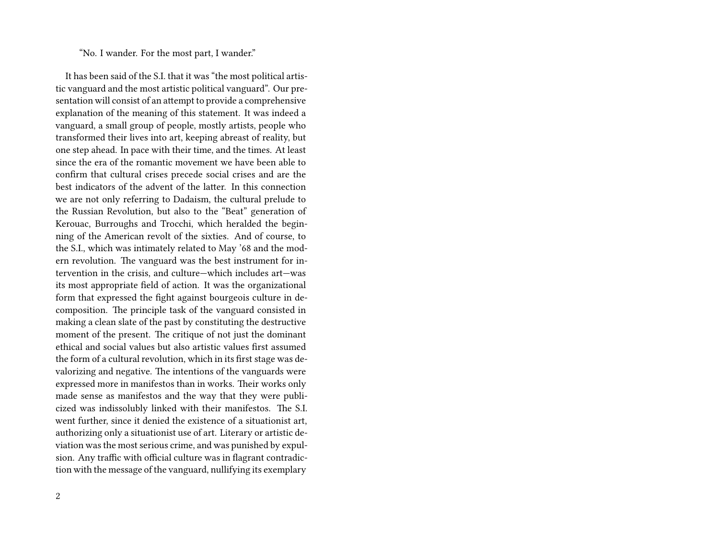## "No. I wander. For the most part, I wander."

It has been said of the S.I. that it was "the most political artistic vanguard and the most artistic political vanguard". Our presentation will consist of an attempt to provide a comprehensive explanation of the meaning of this statement. It was indeed a vanguard, a small group of people, mostly artists, people who transformed their lives into art, keeping abreast of reality, but one step ahead. In pace with their time, and the times. At least since the era of the romantic movement we have been able to confirm that cultural crises precede social crises and are the best indicators of the advent of the latter. In this connection we are not only referring to Dadaism, the cultural prelude to the Russian Revolution, but also to the "Beat" generation of Kerouac, Burroughs and Trocchi, which heralded the beginning of the American revolt of the sixties. And of course, to the S.I., which was intimately related to May '68 and the modern revolution. The vanguard was the best instrument for intervention in the crisis, and culture—which includes art—was its most appropriate field of action. It was the organizational form that expressed the fight against bourgeois culture in decomposition. The principle task of the vanguard consisted in making a clean slate of the past by constituting the destructive moment of the present. The critique of not just the dominant ethical and social values but also artistic values first assumed the form of a cultural revolution, which in its first stage was devalorizing and negative. The intentions of the vanguards were expressed more in manifestos than in works. Their works only made sense as manifestos and the way that they were publicized was indissolubly linked with their manifestos. The S.I. went further, since it denied the existence of a situationist art, authorizing only a situationist use of art. Literary or artistic deviation was the most serious crime, and was punished by expulsion. Any traffic with official culture was in flagrant contradiction with the message of the vanguard, nullifying its exemplary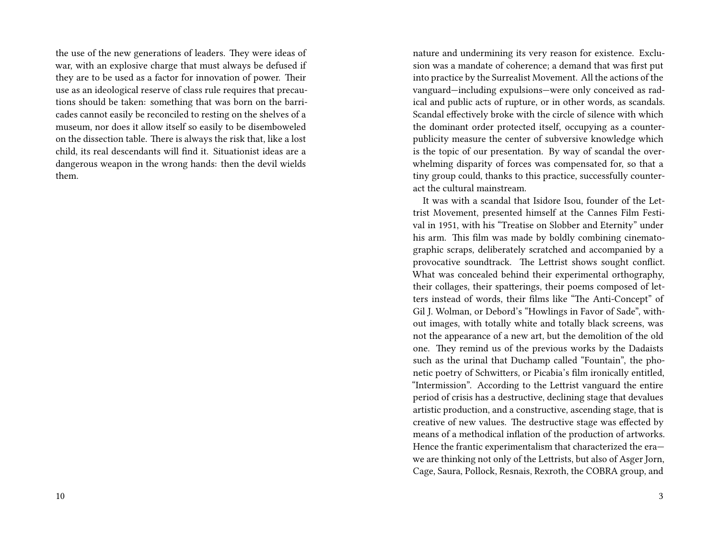the use of the new generations of leaders. They were ideas of war, with an explosive charge that must always be defused if they are to be used as a factor for innovation of power. Their use as an ideological reserve of class rule requires that precautions should be taken: something that was born on the barricades cannot easily be reconciled to resting on the shelves of a museum, nor does it allow itself so easily to be disemboweled on the dissection table. There is always the risk that, like a lost child, its real descendants will find it. Situationist ideas are a dangerous weapon in the wrong hands: then the devil wields them.

nature and undermining its very reason for existence. Exclusion was a mandate of coherence; a demand that was first put into practice by the Surrealist Movement. All the actions of the vanguard—including expulsions—were only conceived as radical and public acts of rupture, or in other words, as scandals. Scandal effectively broke with the circle of silence with which the dominant order protected itself, occupying as a counterpublicity measure the center of subversive knowledge which is the topic of our presentation. By way of scandal the overwhelming disparity of forces was compensated for, so that a tiny group could, thanks to this practice, successfully counteract the cultural mainstream.

It was with a scandal that Isidore Isou, founder of the Lettrist Movement, presented himself at the Cannes Film Festival in 1951, with his "Treatise on Slobber and Eternity" under his arm. This film was made by boldly combining cinematographic scraps, deliberately scratched and accompanied by a provocative soundtrack. The Lettrist shows sought conflict. What was concealed behind their experimental orthography, their collages, their spatterings, their poems composed of letters instead of words, their films like "The Anti-Concept" of Gil J. Wolman, or Debord's "Howlings in Favor of Sade", without images, with totally white and totally black screens, was not the appearance of a new art, but the demolition of the old one. They remind us of the previous works by the Dadaists such as the urinal that Duchamp called "Fountain", the phonetic poetry of Schwitters, or Picabia's film ironically entitled, "Intermission". According to the Lettrist vanguard the entire period of crisis has a destructive, declining stage that devalues artistic production, and a constructive, ascending stage, that is creative of new values. The destructive stage was effected by means of a methodical inflation of the production of artworks. Hence the frantic experimentalism that characterized the era we are thinking not only of the Lettrists, but also of Asger Jorn, Cage, Saura, Pollock, Resnais, Rexroth, the COBRA group, and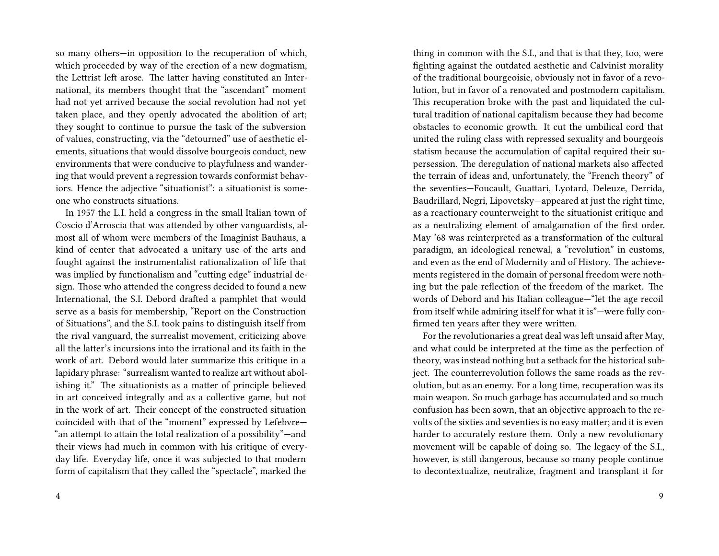so many others—in opposition to the recuperation of which, which proceeded by way of the erection of a new dogmatism, the Lettrist left arose. The latter having constituted an International, its members thought that the "ascendant" moment had not yet arrived because the social revolution had not yet taken place, and they openly advocated the abolition of art; they sought to continue to pursue the task of the subversion of values, constructing, via the "detourned" use of aesthetic elements, situations that would dissolve bourgeois conduct, new environments that were conducive to playfulness and wandering that would prevent a regression towards conformist behaviors. Hence the adjective "situationist": a situationist is someone who constructs situations.

In 1957 the L.I. held a congress in the small Italian town of Coscio d'Arroscia that was attended by other vanguardists, almost all of whom were members of the Imaginist Bauhaus, a kind of center that advocated a unitary use of the arts and fought against the instrumentalist rationalization of life that was implied by functionalism and "cutting edge" industrial design. Those who attended the congress decided to found a new International, the S.I. Debord drafted a pamphlet that would serve as a basis for membership, "Report on the Construction of Situations", and the S.I. took pains to distinguish itself from the rival vanguard, the surrealist movement, criticizing above all the latter's incursions into the irrational and its faith in the work of art. Debord would later summarize this critique in a lapidary phrase: "surrealism wanted to realize art without abolishing it." The situationists as a matter of principle believed in art conceived integrally and as a collective game, but not in the work of art. Their concept of the constructed situation coincided with that of the "moment" expressed by Lefebvre— "an attempt to attain the total realization of a possibility"—and their views had much in common with his critique of everyday life. Everyday life, once it was subjected to that modern form of capitalism that they called the "spectacle", marked the

thing in common with the S.I., and that is that they, too, were fighting against the outdated aesthetic and Calvinist morality of the traditional bourgeoisie, obviously not in favor of a revolution, but in favor of a renovated and postmodern capitalism. This recuperation broke with the past and liquidated the cultural tradition of national capitalism because they had become obstacles to economic growth. It cut the umbilical cord that united the ruling class with repressed sexuality and bourgeois statism because the accumulation of capital required their supersession. The deregulation of national markets also affected the terrain of ideas and, unfortunately, the "French theory" of the seventies—Foucault, Guattari, Lyotard, Deleuze, Derrida, Baudrillard, Negri, Lipovetsky—appeared at just the right time, as a reactionary counterweight to the situationist critique and as a neutralizing element of amalgamation of the first order. May '68 was reinterpreted as a transformation of the cultural paradigm, an ideological renewal, a "revolution" in customs, and even as the end of Modernity and of History. The achievements registered in the domain of personal freedom were nothing but the pale reflection of the freedom of the market. The words of Debord and his Italian colleague—"let the age recoil from itself while admiring itself for what it is"—were fully confirmed ten years after they were written.

For the revolutionaries a great deal was left unsaid after May, and what could be interpreted at the time as the perfection of theory, was instead nothing but a setback for the historical subject. The counterrevolution follows the same roads as the revolution, but as an enemy. For a long time, recuperation was its main weapon. So much garbage has accumulated and so much confusion has been sown, that an objective approach to the revolts of the sixties and seventies is no easy matter; and it is even harder to accurately restore them. Only a new revolutionary movement will be capable of doing so. The legacy of the S.I., however, is still dangerous, because so many people continue to decontextualize, neutralize, fragment and transplant it for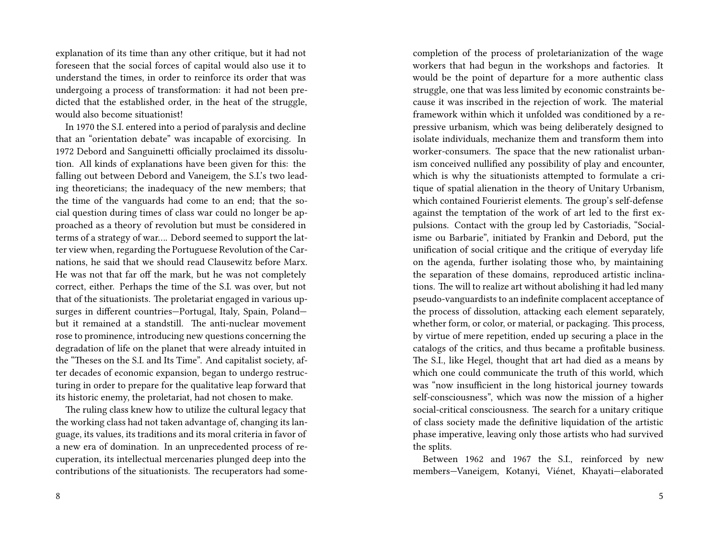explanation of its time than any other critique, but it had not foreseen that the social forces of capital would also use it to understand the times, in order to reinforce its order that was undergoing a process of transformation: it had not been predicted that the established order, in the heat of the struggle, would also become situationist!

In 1970 the S.I. entered into a period of paralysis and decline that an "orientation debate" was incapable of exorcising. In 1972 Debord and Sanguinetti officially proclaimed its dissolution. All kinds of explanations have been given for this: the falling out between Debord and Vaneigem, the S.I.'s two leading theoreticians; the inadequacy of the new members; that the time of the vanguards had come to an end; that the social question during times of class war could no longer be approached as a theory of revolution but must be considered in terms of a strategy of war…. Debord seemed to support the latter view when, regarding the Portuguese Revolution of the Carnations, he said that we should read Clausewitz before Marx. He was not that far off the mark, but he was not completely correct, either. Perhaps the time of the S.I. was over, but not that of the situationists. The proletariat engaged in various upsurges in different countries—Portugal, Italy, Spain, Poland but it remained at a standstill. The anti-nuclear movement rose to prominence, introducing new questions concerning the degradation of life on the planet that were already intuited in the "Theses on the S.I. and Its Time". And capitalist society, after decades of economic expansion, began to undergo restructuring in order to prepare for the qualitative leap forward that its historic enemy, the proletariat, had not chosen to make.

The ruling class knew how to utilize the cultural legacy that the working class had not taken advantage of, changing its language, its values, its traditions and its moral criteria in favor of a new era of domination. In an unprecedented process of recuperation, its intellectual mercenaries plunged deep into the contributions of the situationists. The recuperators had somecompletion of the process of proletarianization of the wage workers that had begun in the workshops and factories. It would be the point of departure for a more authentic class struggle, one that was less limited by economic constraints because it was inscribed in the rejection of work. The material framework within which it unfolded was conditioned by a repressive urbanism, which was being deliberately designed to isolate individuals, mechanize them and transform them into worker-consumers. The space that the new rationalist urbanism conceived nullified any possibility of play and encounter, which is why the situationists attempted to formulate a critique of spatial alienation in the theory of Unitary Urbanism, which contained Fourierist elements. The group's self-defense against the temptation of the work of art led to the first expulsions. Contact with the group led by Castoriadis, "Socialisme ou Barbarie", initiated by Frankin and Debord, put the unification of social critique and the critique of everyday life on the agenda, further isolating those who, by maintaining the separation of these domains, reproduced artistic inclinations. The will to realize art without abolishing it had led many pseudo-vanguardists to an indefinite complacent acceptance of the process of dissolution, attacking each element separately, whether form, or color, or material, or packaging. This process, by virtue of mere repetition, ended up securing a place in the catalogs of the critics, and thus became a profitable business. The S.I., like Hegel, thought that art had died as a means by which one could communicate the truth of this world, which was "now insufficient in the long historical journey towards self-consciousness", which was now the mission of a higher social-critical consciousness. The search for a unitary critique of class society made the definitive liquidation of the artistic phase imperative, leaving only those artists who had survived the splits.

Between 1962 and 1967 the S.I., reinforced by new members—Vaneigem, Kotanyi, Viénet, Khayati—elaborated